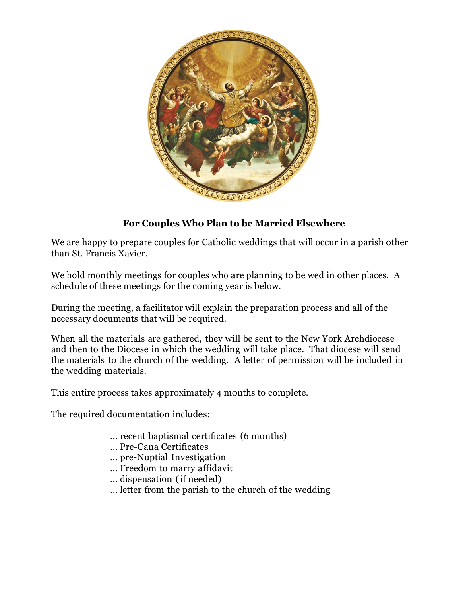

## **For Couples Who Plan to be Married Elsewhere**

We are happy to prepare couples for Catholic weddings that will occur in a parish other than St. Francis Xavier.

We hold monthly meetings for couples who are planning to be wed in other places. A schedule of these meetings for the coming year is below.

During the meeting, a facilitator will explain the preparation process and all of the necessary documents that will be required.

When all the materials are gathered, they will be sent to the New York Archdiocese and then to the Diocese in which the wedding will take place. That diocese will send the materials to the church of the wedding. A letter of permission will be included in the wedding materials.

This entire process takes approximately 4 months to complete.

The required documentation includes:

- ... recent baptismal certificates (6 months)
- ... Pre-Cana Certificates
- ... pre-Nuptial Investigation
- ... Freedom to marry affidavit
- ... dispensation (if needed)
- ... letter from the parish to the church of the wedding